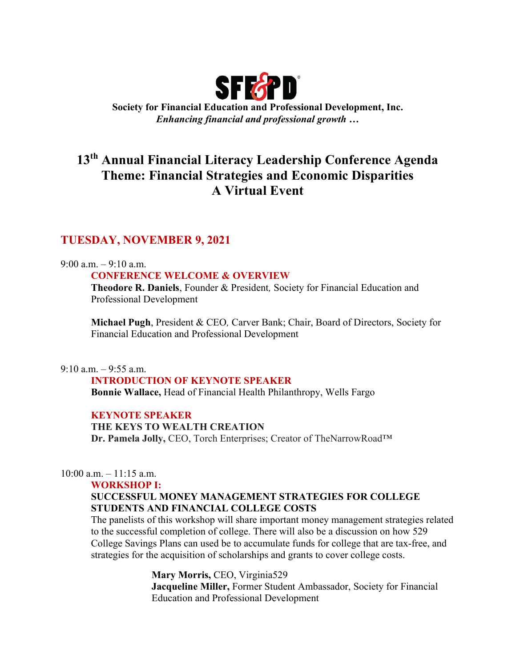

Society for Financial Education and Professional Development, Inc. Enhancing financial and professional growth …

# 13th Annual Financial Literacy Leadership Conference Agenda Theme: Financial Strategies and Economic Disparities A Virtual Event

# TUESDAY, NOVEMBER 9, 2021

# 9:00 a.m. – 9:10 a.m.

# CONFERENCE WELCOME & OVERVIEW

Theodore R. Daniels, Founder & President, Society for Financial Education and Professional Development

Michael Pugh, President & CEO, Carver Bank; Chair, Board of Directors, Society for Financial Education and Professional Development

# $9:10$  a.m.  $-9:55$  a.m.

# INTRODUCTION OF KEYNOTE SPEAKER

Bonnie Wallace, Head of Financial Health Philanthropy, Wells Fargo

# KEYNOTE SPEAKER

# THE KEYS TO WEALTH CREATION

Dr. Pamela Jolly, CEO, Torch Enterprises; Creator of TheNarrowRoad™

# $10:00$  a.m.  $-11:15$  a.m.

### WORKSHOP I:

# SUCCESSFUL MONEY MANAGEMENT STRATEGIES FOR COLLEGE STUDENTS AND FINANCIAL COLLEGE COSTS

The panelists of this workshop will share important money management strategies related to the successful completion of college. There will also be a discussion on how 529 College Savings Plans can used be to accumulate funds for college that are tax-free, and strategies for the acquisition of scholarships and grants to cover college costs.

> Mary Morris, CEO, Virginia529 Jacqueline Miller, Former Student Ambassador, Society for Financial Education and Professional Development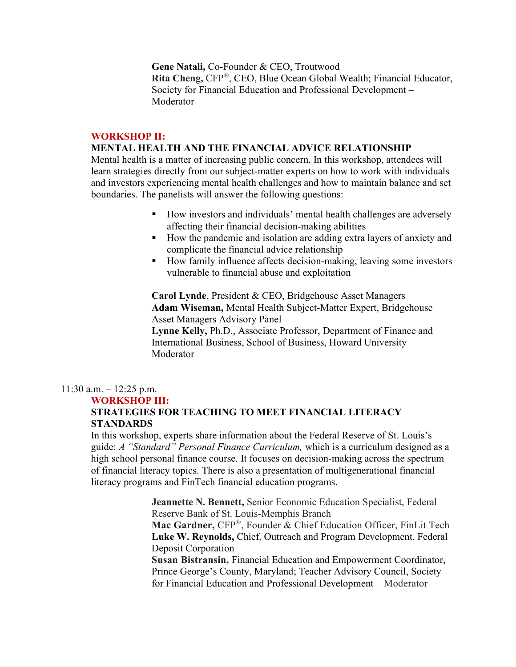Gene Natali, Co-Founder & CEO, Troutwood Rita Cheng, CFP®, CEO, Blue Ocean Global Wealth; Financial Educator, Society for Financial Education and Professional Development – Moderator

### WORKSHOP II:

# MENTAL HEALTH AND THE FINANCIAL ADVICE RELATIONSHIP

Mental health is a matter of increasing public concern. In this workshop, attendees will learn strategies directly from our subject-matter experts on how to work with individuals and investors experiencing mental health challenges and how to maintain balance and set boundaries. The panelists will answer the following questions:

- How investors and individuals' mental health challenges are adversely affecting their financial decision-making abilities
- How the pandemic and isolation are adding extra layers of anxiety and complicate the financial advice relationship
- How family influence affects decision-making, leaving some investors vulnerable to financial abuse and exploitation

Carol Lynde, President & CEO, Bridgehouse Asset Managers Adam Wiseman, Mental Health Subject-Matter Expert, Bridgehouse Asset Managers Advisory Panel

Lynne Kelly, Ph.D., Associate Professor, Department of Finance and International Business, School of Business, Howard University – Moderator

### $11:30$  a.m.  $-12:25$  p.m.

### WORKSHOP III:

# STRATEGIES FOR TEACHING TO MEET FINANCIAL LITERACY **STANDARDS**

In this workshop, experts share information about the Federal Reserve of St. Louis's guide: A "Standard" Personal Finance Curriculum, which is a curriculum designed as a high school personal finance course. It focuses on decision-making across the spectrum of financial literacy topics. There is also a presentation of multigenerational financial literacy programs and FinTech financial education programs.

> Jeannette N. Bennett, Senior Economic Education Specialist, Federal Reserve Bank of St. Louis-Memphis Branch Mac Gardner, CFP®, Founder & Chief Education Officer, FinLit Tech Luke W. Reynolds, Chief, Outreach and Program Development, Federal Deposit Corporation Susan Bistransin, Financial Education and Empowerment Coordinator, Prince George's County, Maryland; Teacher Advisory Council, Society

for Financial Education and Professional Development – Moderator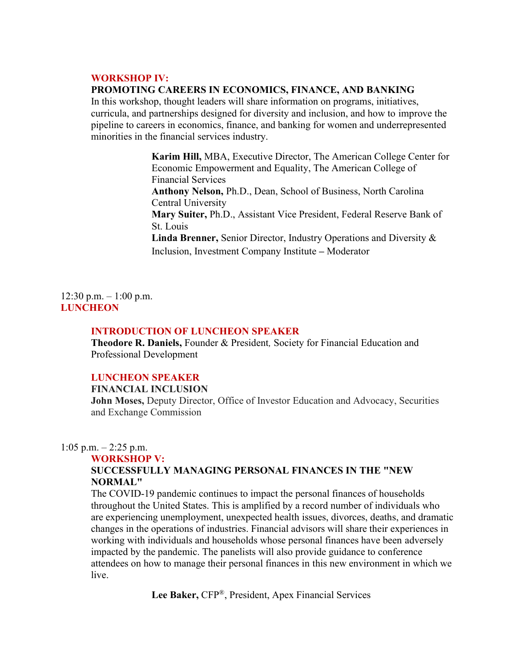### WORKSHOP IV:

#### PROMOTING CAREERS IN ECONOMICS, FINANCE, AND BANKING

In this workshop, thought leaders will share information on programs, initiatives, curricula, and partnerships designed for diversity and inclusion, and how to improve the pipeline to careers in economics, finance, and banking for women and underrepresented minorities in the financial services industry.

> Karim Hill, MBA, Executive Director, The American College Center for Economic Empowerment and Equality, The American College of Financial Services Anthony Nelson, Ph.D., Dean, School of Business, North Carolina Central University Mary Suiter, Ph.D., Assistant Vice President, Federal Reserve Bank of St. Louis Linda Brenner, Senior Director, Industry Operations and Diversity & Inclusion, Investment Company Institute – Moderator

 $12:30$  p.m.  $-1:00$  p.m. **LUNCHEON** 

### INTRODUCTION OF LUNCHEON SPEAKER

Theodore R. Daniels, Founder & President, Society for Financial Education and Professional Development

# LUNCHEON SPEAKER

FINANCIAL INCLUSION

John Moses, Deputy Director, Office of Investor Education and Advocacy, Securities and Exchange Commission

1:05 p.m.  $-2:25$  p.m.

#### WORKSHOP V:

# SUCCESSFULLY MANAGING PERSONAL FINANCES IN THE "NEW NORMAL"

The COVID-19 pandemic continues to impact the personal finances of households throughout the United States. This is amplified by a record number of individuals who are experiencing unemployment, unexpected health issues, divorces, deaths, and dramatic changes in the operations of industries. Financial advisors will share their experiences in working with individuals and households whose personal finances have been adversely impacted by the pandemic. The panelists will also provide guidance to conference attendees on how to manage their personal finances in this new environment in which we live.

Lee Baker, CFP®, President, Apex Financial Services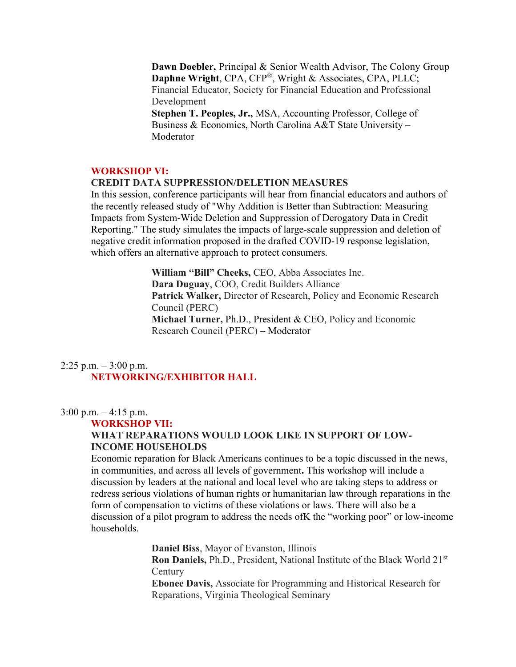Dawn Doebler, Principal & Senior Wealth Advisor, The Colony Group Daphne Wright, CPA, CFP®, Wright & Associates, CPA, PLLC; Financial Educator, Society for Financial Education and Professional Development Stephen T. Peoples, Jr., MSA, Accounting Professor, College of Business & Economics, North Carolina A&T State University –

Moderator

# WORKSHOP VI:

### CREDIT DATA SUPPRESSION/DELETION MEASURES

In this session, conference participants will hear from financial educators and authors of the recently released study of "Why Addition is Better than Subtraction: Measuring Impacts from System-Wide Deletion and Suppression of Derogatory Data in Credit Reporting." The study simulates the impacts of large-scale suppression and deletion of negative credit information proposed in the drafted COVID-19 response legislation, which offers an alternative approach to protect consumers.

> William "Bill" Cheeks, CEO, Abba Associates Inc. Dara Duguay, COO, Credit Builders Alliance Patrick Walker, Director of Research, Policy and Economic Research Council (PERC) Michael Turner, Ph.D., President & CEO, Policy and Economic Research Council (PERC) – Moderator

# 2:25 p.m.  $-3:00$  p.m. NETWORKING/EXHIBITOR HALL

 $3:00 \text{ p.m.} - 4:15 \text{ p.m.}$ 

## WORKSHOP VII:

# WHAT REPARATIONS WOULD LOOK LIKE IN SUPPORT OF LOW-INCOME HOUSEHOLDS

Economic reparation for Black Americans continues to be a topic discussed in the news, in communities, and across all levels of government. This workshop will include a discussion by leaders at the national and local level who are taking steps to address or redress serious violations of human rights or humanitarian law through reparations in the form of compensation to victims of these violations or laws. There will also be a discussion of a pilot program to address the needs ofK the "working poor" or low-income households.

Daniel Biss, Mayor of Evanston, Illinois

Ron Daniels, Ph.D., President, National Institute of the Black World 21st **Century** 

Ebonee Davis, Associate for Programming and Historical Research for Reparations, Virginia Theological Seminary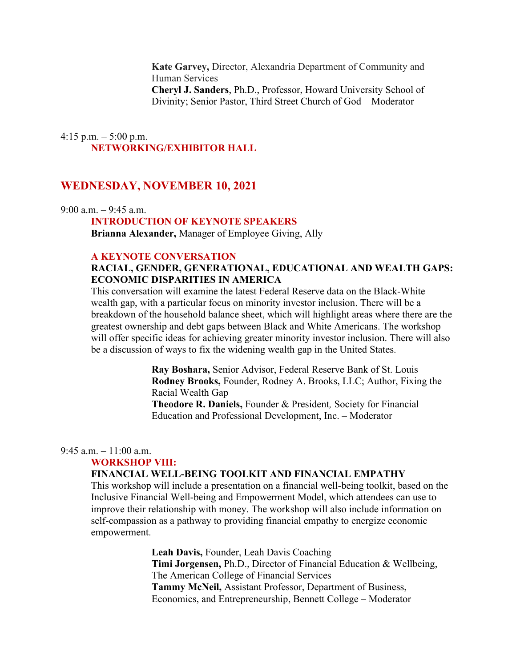Kate Garvey, Director, Alexandria Department of Community and Human Services Cheryl J. Sanders, Ph.D., Professor, Howard University School of Divinity; Senior Pastor, Third Street Church of God – Moderator

# 4:15 p.m.  $-$  5:00 p.m. NETWORKING/EXHIBITOR HALL

# WEDNESDAY, NOVEMBER 10, 2021

9:00 a.m. – 9:45 a.m.

### INTRODUCTION OF KEYNOTE SPEAKERS

Brianna Alexander, Manager of Employee Giving, Ally

### A KEYNOTE CONVERSATION

# RACIAL, GENDER, GENERATIONAL, EDUCATIONAL AND WEALTH GAPS: ECONOMIC DISPARITIES IN AMERICA

This conversation will examine the latest Federal Reserve data on the Black-White wealth gap, with a particular focus on minority investor inclusion. There will be a breakdown of the household balance sheet, which will highlight areas where there are the greatest ownership and debt gaps between Black and White Americans. The workshop will offer specific ideas for achieving greater minority investor inclusion. There will also be a discussion of ways to fix the widening wealth gap in the United States.

> Ray Boshara, Senior Advisor, Federal Reserve Bank of St. Louis Rodney Brooks, Founder, Rodney A. Brooks, LLC; Author, Fixing the Racial Wealth Gap

Theodore R. Daniels, Founder & President, Society for Financial Education and Professional Development, Inc. – Moderator

### 9:45 a.m.  $-11:00$  a.m.

### WORKSHOP VIII:

### FINANCIAL WELL-BEING TOOLKIT AND FINANCIAL EMPATHY

This workshop will include a presentation on a financial well-being toolkit, based on the Inclusive Financial Well-being and Empowerment Model, which attendees can use to improve their relationship with money. The workshop will also include information on self-compassion as a pathway to providing financial empathy to energize economic empowerment.

> Leah Davis, Founder, Leah Davis Coaching Timi Jorgensen, Ph.D., Director of Financial Education & Wellbeing, The American College of Financial Services Tammy McNeil, Assistant Professor, Department of Business, Economics, and Entrepreneurship, Bennett College – Moderator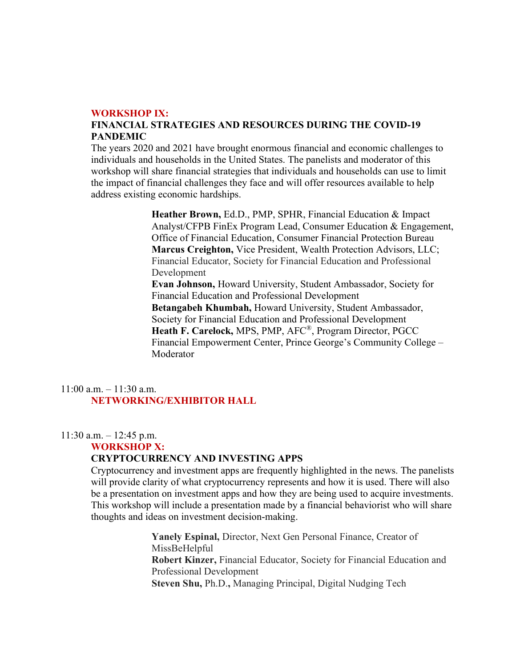#### WORKSHOP IX:

# FINANCIAL STRATEGIES AND RESOURCES DURING THE COVID-19 PANDEMIC

The years 2020 and 2021 have brought enormous financial and economic challenges to individuals and households in the United States. The panelists and moderator of this workshop will share financial strategies that individuals and households can use to limit the impact of financial challenges they face and will offer resources available to help address existing economic hardships.

> Heather Brown, Ed.D., PMP, SPHR, Financial Education & Impact Analyst/CFPB FinEx Program Lead, Consumer Education & Engagement, Office of Financial Education, Consumer Financial Protection Bureau Marcus Creighton, Vice President, Wealth Protection Advisors, LLC; Financial Educator, Society for Financial Education and Professional Development Evan Johnson, Howard University, Student Ambassador, Society for Financial Education and Professional Development Betangabeh Khumbah, Howard University, Student Ambassador, Society for Financial Education and Professional Development Heath F. Carelock, MPS, PMP, AFC®, Program Director, PGCC Financial Empowerment Center, Prince George's Community College – Moderator

# 11:00 a.m. – 11:30 a.m. NETWORKING/EXHIBITOR HALL

### $11:30$  a.m.  $-12:45$  p.m.

### WORKSHOP X:

# CRYPTOCURRENCY AND INVESTING APPS

Cryptocurrency and investment apps are frequently highlighted in the news. The panelists will provide clarity of what cryptocurrency represents and how it is used. There will also be a presentation on investment apps and how they are being used to acquire investments. This workshop will include a presentation made by a financial behaviorist who will share thoughts and ideas on investment decision-making.

> Yanely Espinal, Director, Next Gen Personal Finance, Creator of MissBeHelpful Robert Kinzer, Financial Educator, Society for Financial Education and Professional Development Steven Shu, Ph.D., Managing Principal, Digital Nudging Tech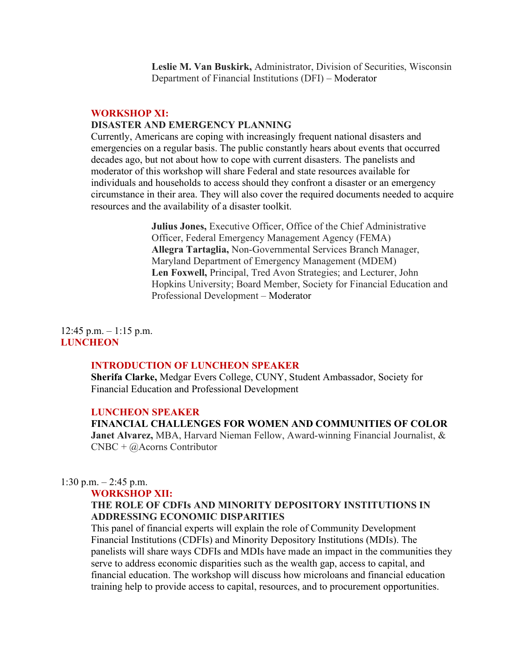Leslie M. Van Buskirk, Administrator, Division of Securities, Wisconsin Department of Financial Institutions (DFI) – Moderator

### WORKSHOP XI:

# DISASTER AND EMERGENCY PLANNING

Currently, Americans are coping with increasingly frequent national disasters and emergencies on a regular basis. The public constantly hears about events that occurred decades ago, but not about how to cope with current disasters. The panelists and moderator of this workshop will share Federal and state resources available for individuals and households to access should they confront a disaster or an emergency circumstance in their area. They will also cover the required documents needed to acquire resources and the availability of a disaster toolkit.

> Julius Jones, Executive Officer, Office of the Chief Administrative Officer, Federal Emergency Management Agency (FEMA) Allegra Tartaglia, Non-Governmental Services Branch Manager, Maryland Department of Emergency Management (MDEM) Len Foxwell, Principal, Tred Avon Strategies; and Lecturer, John Hopkins University; Board Member, Society for Financial Education and Professional Development – Moderator

 $12:45$  p.m.  $-1:15$  p.m. **LUNCHEON** 

### INTRODUCTION OF LUNCHEON SPEAKER

Sherifa Clarke, Medgar Evers College, CUNY, Student Ambassador, Society for Financial Education and Professional Development

### LUNCHEON SPEAKER

### FINANCIAL CHALLENGES FOR WOMEN AND COMMUNITIES OF COLOR

Janet Alvarez, MBA, Harvard Nieman Fellow, Award-winning Financial Journalist, & CNBC + @Acorns Contributor

### 1:30 p.m.  $-2:45$  p.m.

#### WORKSHOP XII:

# THE ROLE OF CDFIs AND MINORITY DEPOSITORY INSTITUTIONS IN ADDRESSING ECONOMIC DISPARITIES

This panel of financial experts will explain the role of Community Development Financial Institutions (CDFIs) and Minority Depository Institutions (MDIs). The panelists will share ways CDFIs and MDIs have made an impact in the communities they serve to address economic disparities such as the wealth gap, access to capital, and financial education. The workshop will discuss how microloans and financial education training help to provide access to capital, resources, and to procurement opportunities.